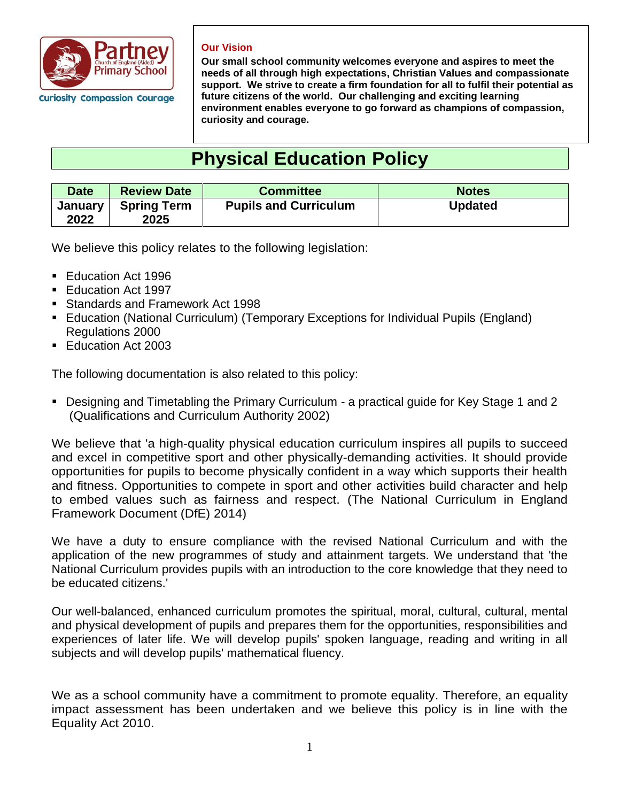

#### **Our Vision**

**Our small school community welcomes everyone and aspires to meet the needs of all through high expectations, Christian Values and compassionate support. We strive to create a firm foundation for all to fulfil their potential as future citizens of the world. Our challenging and exciting learning environment enables everyone to go forward as champions of compassion, curiosity and courage.** 

# **Physical Education Policy**

| <b>Date</b>            | <b>Review Date</b>         | <b>Committee</b>             | <b>Notes</b>   |
|------------------------|----------------------------|------------------------------|----------------|
| <b>January</b><br>2022 | <b>Spring Term</b><br>2025 | <b>Pupils and Curriculum</b> | <b>Updated</b> |

We believe this policy relates to the following legislation:

- Education Act 1996
- Education Act 1997
- Standards and Framework Act 1998
- Education (National Curriculum) (Temporary Exceptions for Individual Pupils (England) Regulations 2000
- Education Act 2003

The following documentation is also related to this policy:

■ Designing and Timetabling the Primary Curriculum - a practical guide for Key Stage 1 and 2 (Qualifications and Curriculum Authority 2002)

We believe that 'a high-quality physical education curriculum inspires all pupils to succeed and excel in competitive sport and other physically-demanding activities. It should provide opportunities for pupils to become physically confident in a way which supports their health and fitness. Opportunities to compete in sport and other activities build character and help to embed values such as fairness and respect. (The National Curriculum in England Framework Document (DfE) 2014)

We have a duty to ensure compliance with the revised National Curriculum and with the application of the new programmes of study and attainment targets. We understand that 'the National Curriculum provides pupils with an introduction to the core knowledge that they need to be educated citizens.'

Our well-balanced, enhanced curriculum promotes the spiritual, moral, cultural, cultural, mental and physical development of pupils and prepares them for the opportunities, responsibilities and experiences of later life. We will develop pupils' spoken language, reading and writing in all subjects and will develop pupils' mathematical fluency.

We as a school community have a commitment to promote equality. Therefore, an equality impact assessment has been undertaken and we believe this policy is in line with the Equality Act 2010.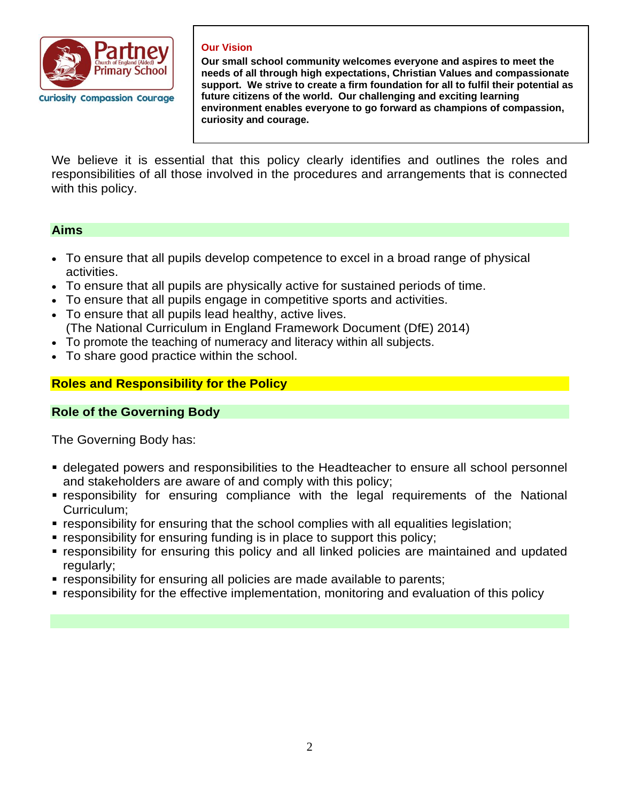

### **Our Vision**

**Our small school community welcomes everyone and aspires to meet the needs of all through high expectations, Christian Values and compassionate support. We strive to create a firm foundation for all to fulfil their potential as future citizens of the world. Our challenging and exciting learning environment enables everyone to go forward as champions of compassion, curiosity and courage.** 

We believe it is essential that this policy clearly identifies and outlines the roles and responsibilities of all those involved in the procedures and arrangements that is connected with this policy.

## **Aims**

- To ensure that all pupils develop competence to excel in a broad range of physical activities.
- To ensure that all pupils are physically active for sustained periods of time.
- To ensure that all pupils engage in competitive sports and activities.
- To ensure that all pupils lead healthy, active lives. (The National Curriculum in England Framework Document (DfE) 2014)
- To promote the teaching of numeracy and literacy within all subjects.
- To share good practice within the school.

# **Roles and Responsibility for the Policy**

## **Role of the Governing Body**

The Governing Body has:

- **delegated powers and responsibilities to the Headteacher to ensure all school personnel** and stakeholders are aware of and comply with this policy;
- **Exercise is responsibility for ensuring compliance with the legal requirements of the National** Curriculum;
- responsibility for ensuring that the school complies with all equalities legislation;
- responsibility for ensuring funding is in place to support this policy;
- responsibility for ensuring this policy and all linked policies are maintained and updated regularly;
- **EX** responsibility for ensuring all policies are made available to parents;
- responsibility for the effective implementation, monitoring and evaluation of this policy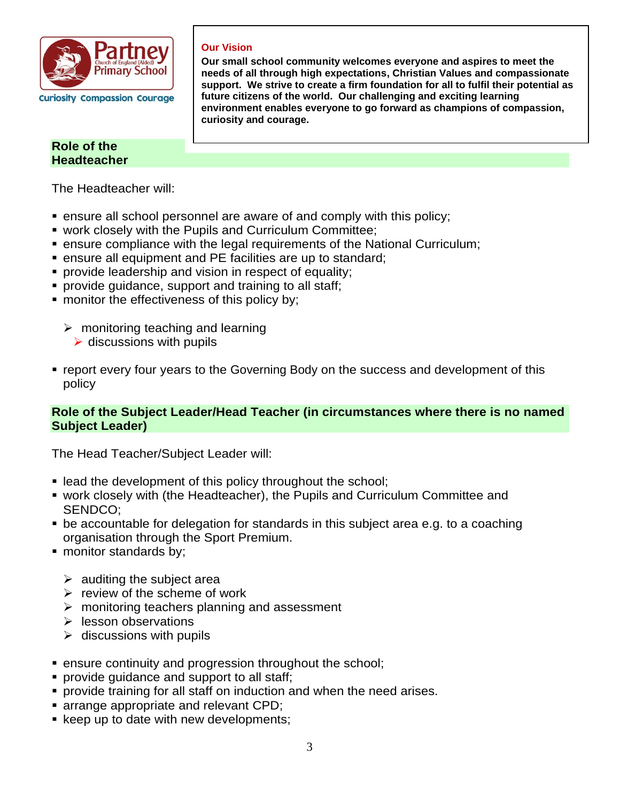

# **Role of the Headteacher**

The Headteacher will:

■ ensure all school personnel are aware of and comply with this policy;

**curiosity and courage.** 

■ work closely with the Pupils and Curriculum Committee;

**Our Vision** 

- **ensure compliance with the legal requirements of the National Curriculum;**
- ensure all equipment and PE facilities are up to standard;
- **•** provide leadership and vision in respect of equality;
- **•** provide guidance, support and training to all staff;
- **monitor the effectiveness of this policy by;** 
	- $\triangleright$  monitoring teaching and learning
		- $\triangleright$  discussions with pupils
- **report every four years to the Governing Body on the success and development of this** policy

## **Role of the Subject Leader/Head Teacher (in circumstances where there is no named Subject Leader)**

**Our small school community welcomes everyone and aspires to meet the needs of all through high expectations, Christian Values and compassionate support. We strive to create a firm foundation for all to fulfil their potential as** 

**environment enables everyone to go forward as champions of compassion,** 

**future citizens of the world. Our challenging and exciting learning** 

The Head Teacher/Subject Leader will:

- lead the development of this policy throughout the school;
- work closely with (the Headteacher), the Pupils and Curriculum Committee and SENDCO;
- be accountable for delegation for standards in this subject area e.g. to a coaching organisation through the Sport Premium.
- monitor standards by;
	- $\triangleright$  auditing the subject area
	- $\triangleright$  review of the scheme of work
	- ➢ monitoring teachers planning and assessment
	- ➢ lesson observations
	- $\triangleright$  discussions with pupils
- ensure continuity and progression throughout the school;
- **provide guidance and support to all staff;**
- **provide training for all staff on induction and when the need arises.**
- arrange appropriate and relevant CPD;
- keep up to date with new developments;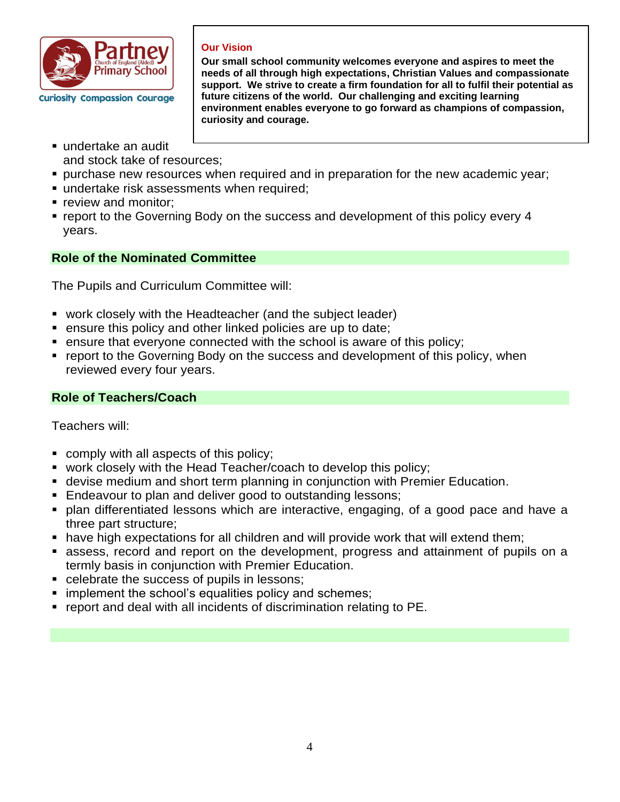

## **Our Vision**

**Our small school community welcomes everyone and aspires to meet the needs of all through high expectations, Christian Values and compassionate support. We strive to create a firm foundation for all to fulfil their potential as future citizens of the world. Our challenging and exciting learning environment enables everyone to go forward as champions of compassion, curiosity and courage.** 

- undertake an audit and stock take of resources;
- **•** purchase new resources when required and in preparation for the new academic year;
- undertake risk assessments when required;
- **Perical monitor:**
- report to the Governing Body on the success and development of this policy every 4 years.

# **Role of the Nominated Committee**

The Pupils and Curriculum Committee will:

- work closely with the Headteacher (and the subject leader)
- ensure this policy and other linked policies are up to date;
- ensure that everyone connected with the school is aware of this policy;
- report to the Governing Body on the success and development of this policy, when reviewed every four years.

# **Role of Teachers/Coach**

Teachers will:

- comply with all aspects of this policy;
- work closely with the Head Teacher/coach to develop this policy;
- **E** devise medium and short term planning in conjunction with Premier Education.
- Endeavour to plan and deliver good to outstanding lessons;
- plan differentiated lessons which are interactive, engaging, of a good pace and have a three part structure;
- have high expectations for all children and will provide work that will extend them;
- assess, record and report on the development, progress and attainment of pupils on a termly basis in conjunction with Premier Education.
- celebrate the success of pupils in lessons;
- **E** implement the school's equalities policy and schemes;
- report and deal with all incidents of discrimination relating to PE.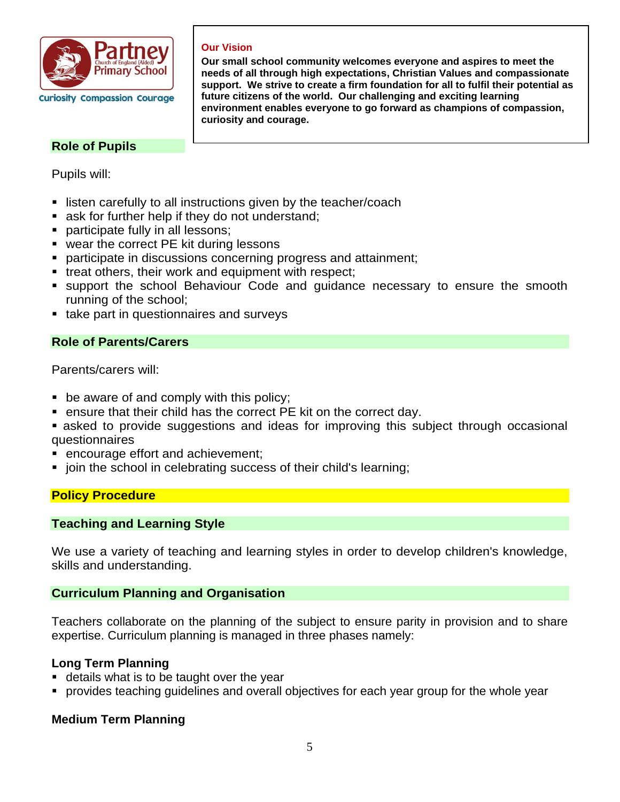

# **Role of Pupils**

Pupils will:

■ listen carefully to all instructions given by the teacher/coach

**Our Vision** 

**curiosity and courage.** 

- ask for further help if they do not understand;
- participate fully in all lessons;
- wear the correct PE kit during lessons
- participate in discussions concerning progress and attainment;
- treat others, their work and equipment with respect;
- support the school Behaviour Code and guidance necessary to ensure the smooth running of the school;

**Our small school community welcomes everyone and aspires to meet the needs of all through high expectations, Christian Values and compassionate support. We strive to create a firm foundation for all to fulfil their potential as** 

**environment enables everyone to go forward as champions of compassion,** 

**future citizens of the world. Our challenging and exciting learning** 

■ take part in questionnaires and surveys

# **Role of Parents/Carers**

Parents/carers will:

- be aware of and comply with this policy;
- ensure that their child has the correct PE kit on the correct day.
- **E** asked to provide suggestions and ideas for improving this subject through occasional questionnaires
- encourage effort and achievement;
- join the school in celebrating success of their child's learning;

# **Policy Procedure**

# **Teaching and Learning Style**

We use a variety of teaching and learning styles in order to develop children's knowledge, skills and understanding.

## **Curriculum Planning and Organisation**

Teachers collaborate on the planning of the subject to ensure parity in provision and to share expertise. Curriculum planning is managed in three phases namely:

# **Long Term Planning**

- details what is to be taught over the year
- **•** provides teaching guidelines and overall objectives for each year group for the whole year

# **Medium Term Planning**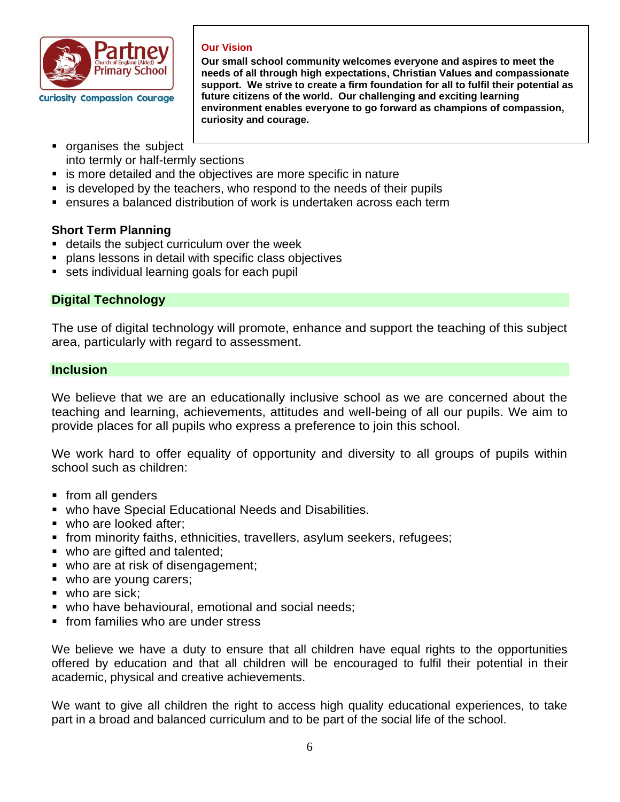

## **Our Vision**

**Our small school community welcomes everyone and aspires to meet the needs of all through high expectations, Christian Values and compassionate support. We strive to create a firm foundation for all to fulfil their potential as future citizens of the world. Our challenging and exciting learning environment enables everyone to go forward as champions of compassion, curiosity and courage.** 

- organises the subject into termly or half-termly sections
- is more detailed and the objectives are more specific in nature
- is developed by the teachers, who respond to the needs of their pupils
- ensures a balanced distribution of work is undertaken across each term

# **Short Term Planning**

- details the subject curriculum over the week
- **plans lessons in detail with specific class objectives**
- sets individual learning goals for each pupil

# **Digital Technology**

The use of digital technology will promote, enhance and support the teaching of this subject area, particularly with regard to assessment.

## **Inclusion**

We believe that we are an educationally inclusive school as we are concerned about the teaching and learning, achievements, attitudes and well-being of all our pupils. We aim to provide places for all pupils who express a preference to join this school.

We work hard to offer equality of opportunity and diversity to all groups of pupils within school such as children:

- from all genders
- who have Special Educational Needs and Disabilities.
- who are looked after:
- **•** from minority faiths, ethnicities, travellers, asylum seekers, refugees;
- who are gifted and talented;
- who are at risk of disengagement;
- who are young carers;
- who are sick:
- **who have behavioural, emotional and social needs;**
- **from families who are under stress**

We believe we have a duty to ensure that all children have equal rights to the opportunities offered by education and that all children will be encouraged to fulfil their potential in their academic, physical and creative achievements.

We want to give all children the right to access high quality educational experiences, to take part in a broad and balanced curriculum and to be part of the social life of the school.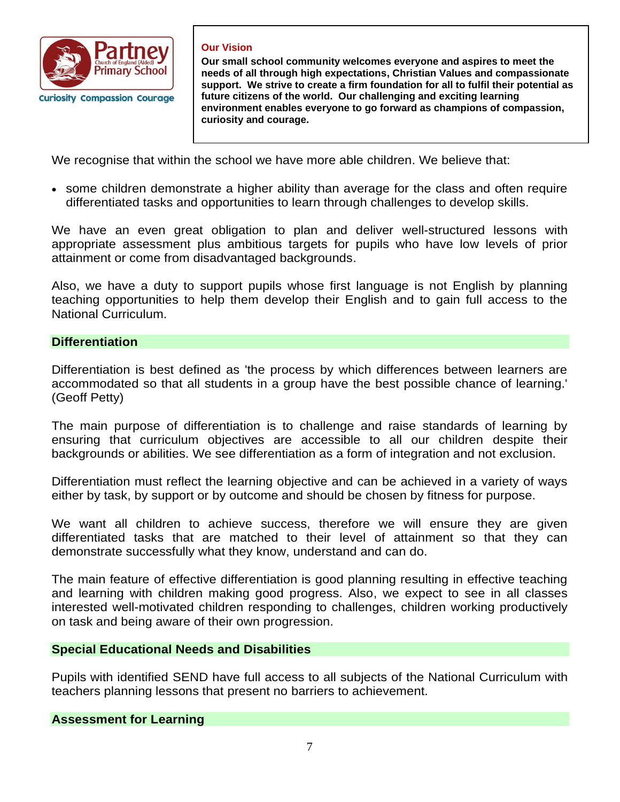

### **Our Vision**

**Our small school community welcomes everyone and aspires to meet the needs of all through high expectations, Christian Values and compassionate support. We strive to create a firm foundation for all to fulfil their potential as future citizens of the world. Our challenging and exciting learning environment enables everyone to go forward as champions of compassion, curiosity and courage.** 

We recognise that within the school we have more able children. We believe that:

• some children demonstrate a higher ability than average for the class and often require differentiated tasks and opportunities to learn through challenges to develop skills.

We have an even great obligation to plan and deliver well-structured lessons with appropriate assessment plus ambitious targets for pupils who have low levels of prior attainment or come from disadvantaged backgrounds.

Also, we have a duty to support pupils whose first language is not English by planning teaching opportunities to help them develop their English and to gain full access to the National Curriculum.

# **Differentiation**

Differentiation is best defined as 'the process by which differences between learners are accommodated so that all students in a group have the best possible chance of learning.' (Geoff Petty)

The main purpose of differentiation is to challenge and raise standards of learning by ensuring that curriculum objectives are accessible to all our children despite their backgrounds or abilities. We see differentiation as a form of integration and not exclusion.

Differentiation must reflect the learning objective and can be achieved in a variety of ways either by task, by support or by outcome and should be chosen by fitness for purpose.

We want all children to achieve success, therefore we will ensure they are given differentiated tasks that are matched to their level of attainment so that they can demonstrate successfully what they know, understand and can do.

The main feature of effective differentiation is good planning resulting in effective teaching and learning with children making good progress. Also, we expect to see in all classes interested well-motivated children responding to challenges, children working productively on task and being aware of their own progression.

# **Special Educational Needs and Disabilities**

Pupils with identified SEND have full access to all subjects of the National Curriculum with teachers planning lessons that present no barriers to achievement.

**Assessment for Learning**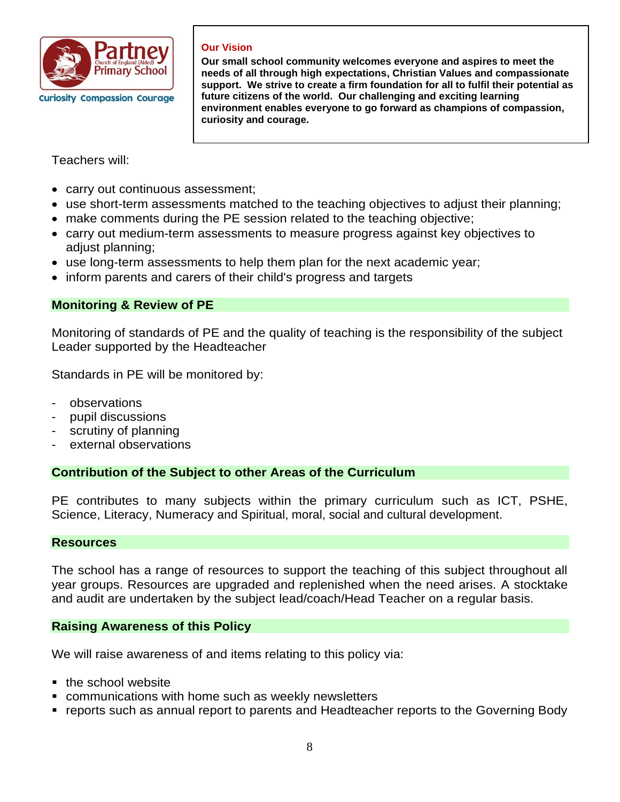

### **Our Vision**

**Our small school community welcomes everyone and aspires to meet the needs of all through high expectations, Christian Values and compassionate support. We strive to create a firm foundation for all to fulfil their potential as future citizens of the world. Our challenging and exciting learning environment enables everyone to go forward as champions of compassion, curiosity and courage.** 

Teachers will:

- carry out continuous assessment;
- use short-term assessments matched to the teaching objectives to adjust their planning;
- make comments during the PE session related to the teaching objective;
- carry out medium-term assessments to measure progress against key objectives to adjust planning;
- use long-term assessments to help them plan for the next academic year;
- inform parents and carers of their child's progress and targets

# **Monitoring & Review of PE**

Monitoring of standards of PE and the quality of teaching is the responsibility of the subject Leader supported by the Headteacher

Standards in PE will be monitored by:

- observations
- pupil discussions
- scrutiny of planning
- external observations

## **Contribution of the Subject to other Areas of the Curriculum**

PE contributes to many subjects within the primary curriculum such as ICT, PSHE, Science, Literacy, Numeracy and Spiritual, moral, social and cultural development.

## **Resources**

The school has a range of resources to support the teaching of this subject throughout all year groups. Resources are upgraded and replenished when the need arises. A stocktake and audit are undertaken by the subject lead/coach/Head Teacher on a regular basis.

## **Raising Awareness of this Policy**

We will raise awareness of and items relating to this policy via:

- the school website
- **EX communications with home such as weekly newsletters**
- reports such as annual report to parents and Headteacher reports to the Governing Body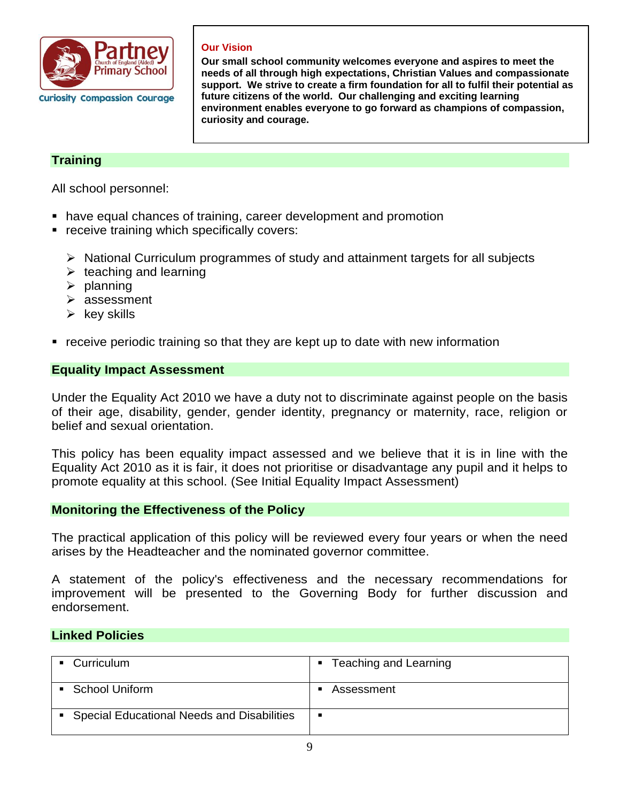

## **Our Vision**

**Our small school community welcomes everyone and aspires to meet the needs of all through high expectations, Christian Values and compassionate support. We strive to create a firm foundation for all to fulfil their potential as future citizens of the world. Our challenging and exciting learning environment enables everyone to go forward as champions of compassion, curiosity and courage.** 

# **Training**

All school personnel:

- have equal chances of training, career development and promotion
- **EX receive training which specifically covers:** 
	- ➢ National Curriculum programmes of study and attainment targets for all subjects
	- $\triangleright$  teaching and learning
	- $\triangleright$  planning
	- ➢ assessment
	- $\triangleright$  key skills
- receive periodic training so that they are kept up to date with new information

## **Equality Impact Assessment**

Under the Equality Act 2010 we have a duty not to discriminate against people on the basis of their age, disability, gender, gender identity, pregnancy or maternity, race, religion or belief and sexual orientation.

This policy has been equality impact assessed and we believe that it is in line with the Equality Act 2010 as it is fair, it does not prioritise or disadvantage any pupil and it helps to promote equality at this school. (See Initial Equality Impact Assessment)

## **Monitoring the Effectiveness of the Policy**

The practical application of this policy will be reviewed every four years or when the need arises by the Headteacher and the nominated governor committee.

A statement of the policy's effectiveness and the necessary recommendations for improvement will be presented to the Governing Body for further discussion and endorsement.

## **Linked Policies**

| Curriculum                                 | ■ Teaching and Learning |
|--------------------------------------------|-------------------------|
| School Uniform                             | Assessment              |
| Special Educational Needs and Disabilities | <u>. на т</u>           |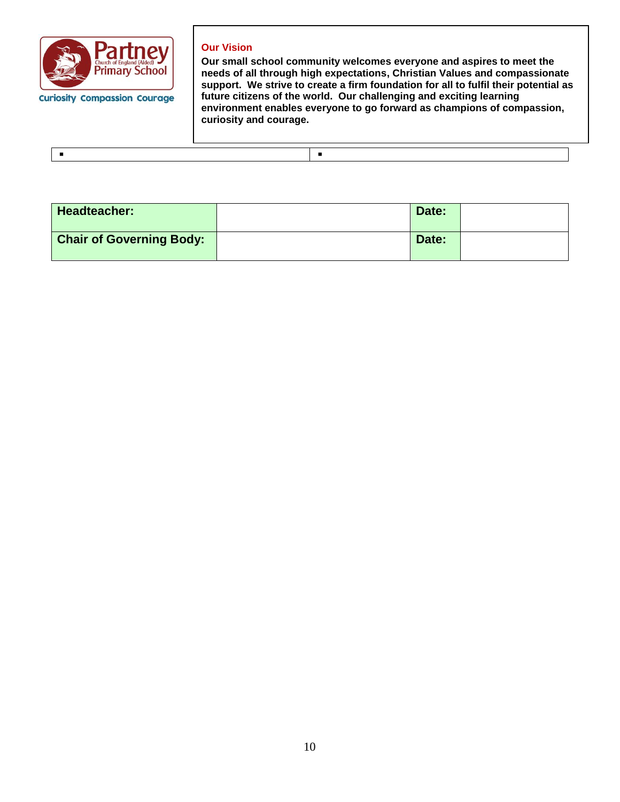

#### **Our Vision**

**Our small school community welcomes everyone and aspires to meet the needs of all through high expectations, Christian Values and compassionate support. We strive to create a firm foundation for all to fulfil their potential as future citizens of the world. Our challenging and exciting learning environment enables everyone to go forward as champions of compassion, curiosity and courage.** 

| <b>Headteacher:</b>             | Date: |  |
|---------------------------------|-------|--|
| <b>Chair of Governing Body:</b> | Date: |  |